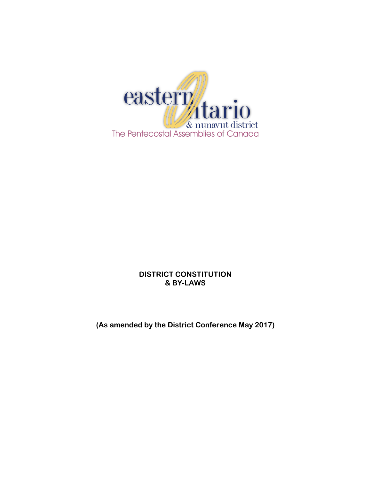

# **DISTRICT CONSTITUTION & BY-LAWS**

**(As amended by the District Conference May 2017)**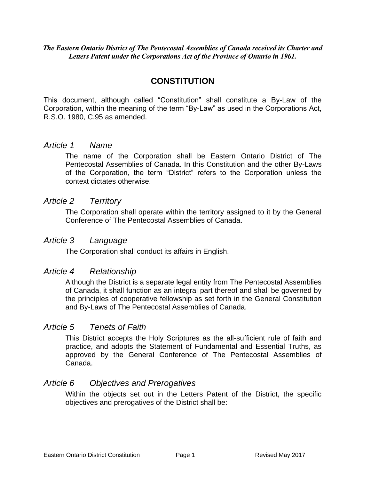*The Eastern Ontario District of The Pentecostal Assemblies of Canada received its Charter and Letters Patent under the Corporations Act of the Province of Ontario in 1961.*

# **CONSTITUTION**

This document, although called "Constitution" shall constitute a By-Law of the Corporation, within the meaning of the term "By-Law" as used in the Corporations Act, R.S.O. 1980, C.95 as amended.

### *Article 1 Name*

The name of the Corporation shall be Eastern Ontario District of The Pentecostal Assemblies of Canada. In this Constitution and the other By-Laws of the Corporation, the term "District" refers to the Corporation unless the context dictates otherwise.

### *Article 2 Territory*

The Corporation shall operate within the territory assigned to it by the General Conference of The Pentecostal Assemblies of Canada.

### *Article 3 Language*

The Corporation shall conduct its affairs in English.

### *Article 4 Relationship*

Although the District is a separate legal entity from The Pentecostal Assemblies of Canada, it shall function as an integral part thereof and shall be governed by the principles of cooperative fellowship as set forth in the General Constitution and By-Laws of The Pentecostal Assemblies of Canada.

### *Article 5 Tenets of Faith*

This District accepts the Holy Scriptures as the all-sufficient rule of faith and practice, and adopts the Statement of Fundamental and Essential Truths, as approved by the General Conference of The Pentecostal Assemblies of Canada.

# *Article 6 Objectives and Prerogatives*

Within the objects set out in the Letters Patent of the District, the specific objectives and prerogatives of the District shall be: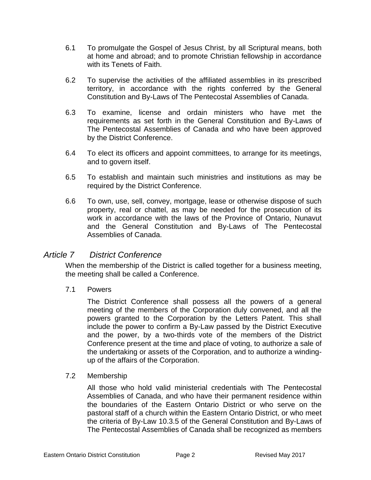- 6.1 To promulgate the Gospel of Jesus Christ, by all Scriptural means, both at home and abroad; and to promote Christian fellowship in accordance with its Tenets of Faith.
- 6.2 To supervise the activities of the affiliated assemblies in its prescribed territory, in accordance with the rights conferred by the General Constitution and By-Laws of The Pentecostal Assemblies of Canada.
- 6.3 To examine, license and ordain ministers who have met the requirements as set forth in the General Constitution and By-Laws of The Pentecostal Assemblies of Canada and who have been approved by the District Conference.
- 6.4 To elect its officers and appoint committees, to arrange for its meetings, and to govern itself.
- 6.5 To establish and maintain such ministries and institutions as may be required by the District Conference.
- 6.6 To own, use, sell, convey, mortgage, lease or otherwise dispose of such property, real or chattel, as may be needed for the prosecution of its work in accordance with the laws of the Province of Ontario, Nunavut and the General Constitution and By-Laws of The Pentecostal Assemblies of Canada.

# *Article 7 District Conference*

When the membership of the District is called together for a business meeting, the meeting shall be called a Conference.

7.1 Powers

The District Conference shall possess all the powers of a general meeting of the members of the Corporation duly convened, and all the powers granted to the Corporation by the Letters Patent. This shall include the power to confirm a By-Law passed by the District Executive and the power, by a two-thirds vote of the members of the District Conference present at the time and place of voting, to authorize a sale of the undertaking or assets of the Corporation, and to authorize a windingup of the affairs of the Corporation.

### 7.2 Membership

All those who hold valid ministerial credentials with The Pentecostal Assemblies of Canada, and who have their permanent residence within the boundaries of the Eastern Ontario District or who serve on the pastoral staff of a church within the Eastern Ontario District, or who meet the criteria of By-Law 10.3.5 of the General Constitution and By-Laws of The Pentecostal Assemblies of Canada shall be recognized as members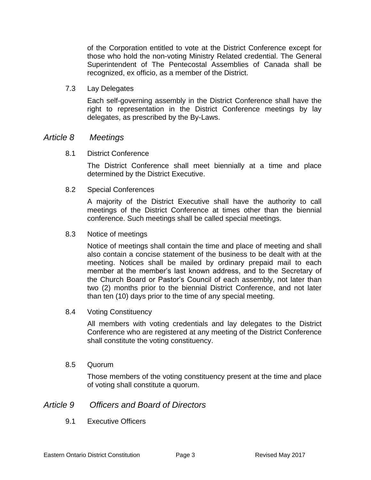of the Corporation entitled to vote at the District Conference except for those who hold the non-voting Ministry Related credential. The General Superintendent of The Pentecostal Assemblies of Canada shall be recognized, ex officio, as a member of the District.

7.3 Lay Delegates

Each self-governing assembly in the District Conference shall have the right to representation in the District Conference meetings by lay delegates, as prescribed by the By-Laws.

### *Article 8 Meetings*

8.1 District Conference

The District Conference shall meet biennially at a time and place determined by the District Executive.

8.2 Special Conferences

A majority of the District Executive shall have the authority to call meetings of the District Conference at times other than the biennial conference. Such meetings shall be called special meetings.

8.3 Notice of meetings

Notice of meetings shall contain the time and place of meeting and shall also contain a concise statement of the business to be dealt with at the meeting. Notices shall be mailed by ordinary prepaid mail to each member at the member's last known address, and to the Secretary of the Church Board or Pastor's Council of each assembly, not later than two (2) months prior to the biennial District Conference, and not later than ten (10) days prior to the time of any special meeting.

8.4 Voting Constituency

All members with voting credentials and lay delegates to the District Conference who are registered at any meeting of the District Conference shall constitute the voting constituency.

8.5 Quorum

Those members of the voting constituency present at the time and place of voting shall constitute a quorum.

### *Article 9 Officers and Board of Directors*

9.1 Executive Officers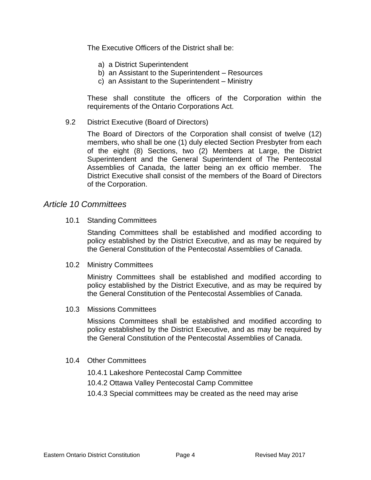The Executive Officers of the District shall be:

- a) a District Superintendent
- b) an Assistant to the Superintendent Resources
- c) an Assistant to the Superintendent Ministry

These shall constitute the officers of the Corporation within the requirements of the Ontario Corporations Act.

9.2 District Executive (Board of Directors)

The Board of Directors of the Corporation shall consist of twelve (12) members, who shall be one (1) duly elected Section Presbyter from each of the eight (8) Sections, two (2) Members at Large, the District Superintendent and the General Superintendent of The Pentecostal Assemblies of Canada, the latter being an ex officio member. The District Executive shall consist of the members of the Board of Directors of the Corporation.

### *Article 10 Committees*

10.1 Standing Committees

Standing Committees shall be established and modified according to policy established by the District Executive, and as may be required by the General Constitution of the Pentecostal Assemblies of Canada.

10.2 Ministry Committees

Ministry Committees shall be established and modified according to policy established by the District Executive, and as may be required by the General Constitution of the Pentecostal Assemblies of Canada.

10.3 Missions Committees

Missions Committees shall be established and modified according to policy established by the District Executive, and as may be required by the General Constitution of the Pentecostal Assemblies of Canada.

- 10.4 Other Committees
	- 10.4.1 Lakeshore Pentecostal Camp Committee
	- 10.4.2 Ottawa Valley Pentecostal Camp Committee
	- 10.4.3 Special committees may be created as the need may arise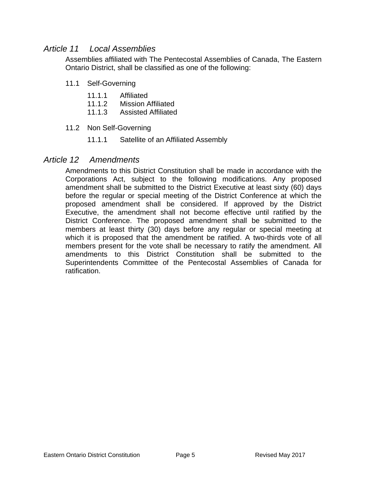# *Article 11 Local Assemblies*

Assemblies affiliated with The Pentecostal Assemblies of Canada, The Eastern Ontario District, shall be classified as one of the following:

- 11.1 Self-Governing
	- 11.1.1 Affiliated
	- 11.1.2 Mission Affiliated
	- 11.1.3 Assisted Affiliated
- 11.2 Non Self-Governing
	- 11.1.1 Satellite of an Affiliated Assembly

### *Article 12 Amendments*

Amendments to this District Constitution shall be made in accordance with the Corporations Act, subject to the following modifications. Any proposed amendment shall be submitted to the District Executive at least sixty (60) days before the regular or special meeting of the District Conference at which the proposed amendment shall be considered. If approved by the District Executive, the amendment shall not become effective until ratified by the District Conference. The proposed amendment shall be submitted to the members at least thirty (30) days before any regular or special meeting at which it is proposed that the amendment be ratified. A two-thirds vote of all members present for the vote shall be necessary to ratify the amendment. All amendments to this District Constitution shall be submitted to the Superintendents Committee of the Pentecostal Assemblies of Canada for ratification.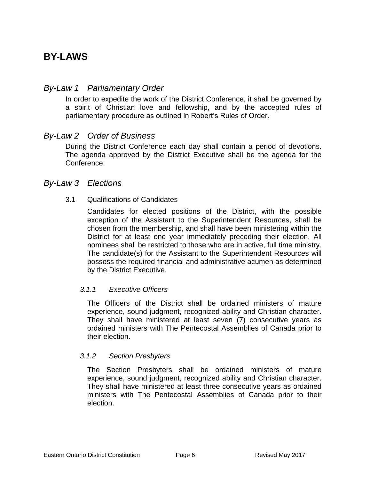# **BY-LAWS**

# *By-Law 1 Parliamentary Order*

In order to expedite the work of the District Conference, it shall be governed by a spirit of Christian love and fellowship, and by the accepted rules of parliamentary procedure as outlined in Robert's Rules of Order.

# *By-Law 2 Order of Business*

During the District Conference each day shall contain a period of devotions. The agenda approved by the District Executive shall be the agenda for the Conference.

### *By-Law 3 Elections*

### 3.1 Qualifications of Candidates

Candidates for elected positions of the District, with the possible exception of the Assistant to the Superintendent Resources, shall be chosen from the membership, and shall have been ministering within the District for at least one year immediately preceding their election. All nominees shall be restricted to those who are in active, full time ministry. The candidate(s) for the Assistant to the Superintendent Resources will possess the required financial and administrative acumen as determined by the District Executive.

### *3.1.1 Executive Officers*

The Officers of the District shall be ordained ministers of mature experience, sound judgment, recognized ability and Christian character. They shall have ministered at least seven (7) consecutive years as ordained ministers with The Pentecostal Assemblies of Canada prior to their election.

### *3.1.2 Section Presbyters*

The Section Presbyters shall be ordained ministers of mature experience, sound judgment, recognized ability and Christian character. They shall have ministered at least three consecutive years as ordained ministers with The Pentecostal Assemblies of Canada prior to their election.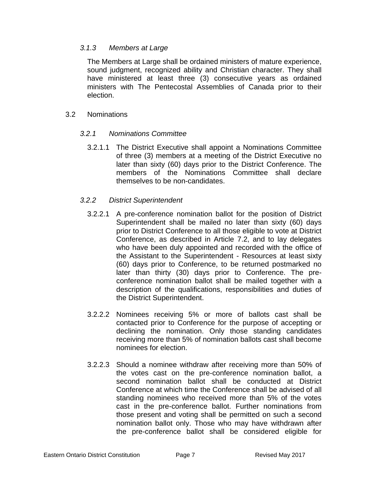### *3.1.3 Members at Large*

The Members at Large shall be ordained ministers of mature experience, sound judgment, recognized ability and Christian character. They shall have ministered at least three (3) consecutive years as ordained ministers with The Pentecostal Assemblies of Canada prior to their election.

#### 3.2 Nominations

### *3.2.1 Nominations Committee*

3.2.1.1 The District Executive shall appoint a Nominations Committee of three (3) members at a meeting of the District Executive no later than sixty (60) days prior to the District Conference. The members of the Nominations Committee shall declare themselves to be non-candidates.

#### *3.2.2 District Superintendent*

- 3.2.2.1 A pre-conference nomination ballot for the position of District Superintendent shall be mailed no later than sixty (60) days prior to District Conference to all those eligible to vote at District Conference, as described in Article 7.2, and to lay delegates who have been duly appointed and recorded with the office of the Assistant to the Superintendent - Resources at least sixty (60) days prior to Conference, to be returned postmarked no later than thirty (30) days prior to Conference. The preconference nomination ballot shall be mailed together with a description of the qualifications, responsibilities and duties of the District Superintendent.
- 3.2.2.2 Nominees receiving 5% or more of ballots cast shall be contacted prior to Conference for the purpose of accepting or declining the nomination. Only those standing candidates receiving more than 5% of nomination ballots cast shall become nominees for election.
- 3.2.2.3 Should a nominee withdraw after receiving more than 50% of the votes cast on the pre-conference nomination ballot, a second nomination ballot shall be conducted at District Conference at which time the Conference shall be advised of all standing nominees who received more than 5% of the votes cast in the pre-conference ballot. Further nominations from those present and voting shall be permitted on such a second nomination ballot only. Those who may have withdrawn after the pre-conference ballot shall be considered eligible for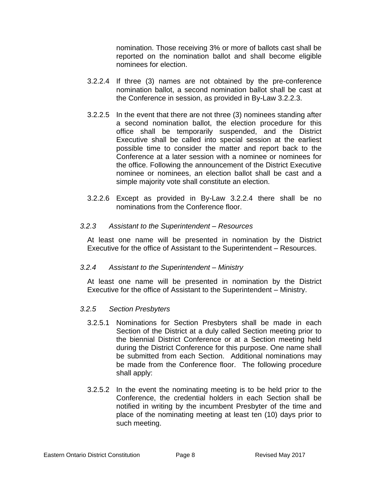nomination. Those receiving 3% or more of ballots cast shall be reported on the nomination ballot and shall become eligible nominees for election.

- 3.2.2.4 If three (3) names are not obtained by the pre-conference nomination ballot, a second nomination ballot shall be cast at the Conference in session, as provided in By-Law 3.2.2.3.
- 3.2.2.5 In the event that there are not three (3) nominees standing after a second nomination ballot, the election procedure for this office shall be temporarily suspended, and the District Executive shall be called into special session at the earliest possible time to consider the matter and report back to the Conference at a later session with a nominee or nominees for the office. Following the announcement of the District Executive nominee or nominees, an election ballot shall be cast and a simple majority vote shall constitute an election.
- 3.2.2.6 Except as provided in By-Law 3.2.2.4 there shall be no nominations from the Conference floor.

#### *3.2.3 Assistant to the Superintendent – Resources*

At least one name will be presented in nomination by the District Executive for the office of Assistant to the Superintendent – Resources.

### *3.2.4 Assistant to the Superintendent – Ministry*

At least one name will be presented in nomination by the District Executive for the office of Assistant to the Superintendent – Ministry.

### *3.2.5 Section Presbyters*

- 3.2.5.1 Nominations for Section Presbyters shall be made in each Section of the District at a duly called Section meeting prior to the biennial District Conference or at a Section meeting held during the District Conference for this purpose. One name shall be submitted from each Section. Additional nominations may be made from the Conference floor. The following procedure shall apply:
- 3.2.5.2 In the event the nominating meeting is to be held prior to the Conference, the credential holders in each Section shall be notified in writing by the incumbent Presbyter of the time and place of the nominating meeting at least ten (10) days prior to such meeting.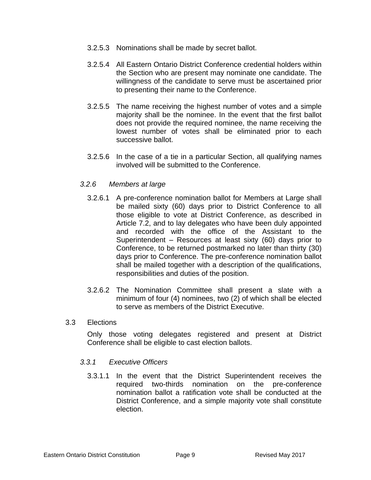- 3.2.5.3 Nominations shall be made by secret ballot.
- 3.2.5.4 All Eastern Ontario District Conference credential holders within the Section who are present may nominate one candidate. The willingness of the candidate to serve must be ascertained prior to presenting their name to the Conference.
- 3.2.5.5 The name receiving the highest number of votes and a simple majority shall be the nominee. In the event that the first ballot does not provide the required nominee, the name receiving the lowest number of votes shall be eliminated prior to each successive ballot.
- 3.2.5.6 In the case of a tie in a particular Section, all qualifying names involved will be submitted to the Conference.

#### *3.2.6 Members at large*

- 3.2.6.1 A pre-conference nomination ballot for Members at Large shall be mailed sixty (60) days prior to District Conference to all those eligible to vote at District Conference, as described in Article 7.2, and to lay delegates who have been duly appointed and recorded with the office of the Assistant to the Superintendent – Resources at least sixty (60) days prior to Conference, to be returned postmarked no later than thirty (30) days prior to Conference. The pre-conference nomination ballot shall be mailed together with a description of the qualifications, responsibilities and duties of the position.
- 3.2.6.2 The Nomination Committee shall present a slate with a minimum of four (4) nominees, two (2) of which shall be elected to serve as members of the District Executive.

#### 3.3 Elections

Only those voting delegates registered and present at District Conference shall be eligible to cast election ballots.

#### *3.3.1 Executive Officers*

3.3.1.1 In the event that the District Superintendent receives the required two-thirds nomination on the pre-conference nomination ballot a ratification vote shall be conducted at the District Conference, and a simple majority vote shall constitute election.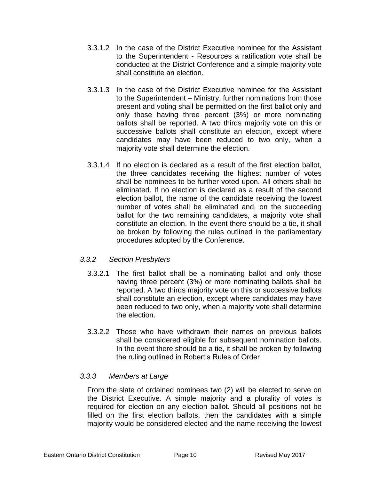- 3.3.1.2 In the case of the District Executive nominee for the Assistant to the Superintendent - Resources a ratification vote shall be conducted at the District Conference and a simple majority vote shall constitute an election.
- 3.3.1.3 In the case of the District Executive nominee for the Assistant to the Superintendent – Ministry, further nominations from those present and voting shall be permitted on the first ballot only and only those having three percent (3%) or more nominating ballots shall be reported. A two thirds majority vote on this or successive ballots shall constitute an election, except where candidates may have been reduced to two only, when a majority vote shall determine the election.
- 3.3.1.4 If no election is declared as a result of the first election ballot, the three candidates receiving the highest number of votes shall be nominees to be further voted upon. All others shall be eliminated. If no election is declared as a result of the second election ballot, the name of the candidate receiving the lowest number of votes shall be eliminated and, on the succeeding ballot for the two remaining candidates, a majority vote shall constitute an election. In the event there should be a tie, it shall be broken by following the rules outlined in the parliamentary procedures adopted by the Conference.

### *3.3.2 Section Presbyters*

- 3.3.2.1 The first ballot shall be a nominating ballot and only those having three percent (3%) or more nominating ballots shall be reported. A two thirds majority vote on this or successive ballots shall constitute an election, except where candidates may have been reduced to two only, when a majority vote shall determine the election.
- 3.3.2.2 Those who have withdrawn their names on previous ballots shall be considered eligible for subsequent nomination ballots. In the event there should be a tie, it shall be broken by following the ruling outlined in Robert's Rules of Order

### *3.3.3 Members at Large*

From the slate of ordained nominees two (2) will be elected to serve on the District Executive. A simple majority and a plurality of votes is required for election on any election ballot. Should all positions not be filled on the first election ballots, then the candidates with a simple majority would be considered elected and the name receiving the lowest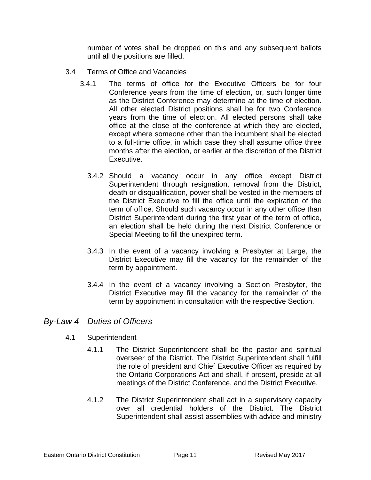number of votes shall be dropped on this and any subsequent ballots until all the positions are filled.

- 3.4 Terms of Office and Vacancies
	- 3.4.1 The terms of office for the Executive Officers be for four Conference years from the time of election, or, such longer time as the District Conference may determine at the time of election. All other elected District positions shall be for two Conference years from the time of election. All elected persons shall take office at the close of the conference at which they are elected, except where someone other than the incumbent shall be elected to a full-time office, in which case they shall assume office three months after the election, or earlier at the discretion of the District Executive.
		- 3.4.2 Should a vacancy occur in any office except District Superintendent through resignation, removal from the District, death or disqualification, power shall be vested in the members of the District Executive to fill the office until the expiration of the term of office. Should such vacancy occur in any other office than District Superintendent during the first year of the term of office, an election shall be held during the next District Conference or Special Meeting to fill the unexpired term.
		- 3.4.3 In the event of a vacancy involving a Presbyter at Large, the District Executive may fill the vacancy for the remainder of the term by appointment.
		- 3.4.4 In the event of a vacancy involving a Section Presbyter, the District Executive may fill the vacancy for the remainder of the term by appointment in consultation with the respective Section.

### *By-Law 4 Duties of Officers*

- 4.1 Superintendent
	- 4.1.1 The District Superintendent shall be the pastor and spiritual overseer of the District. The District Superintendent shall fulfill the role of president and Chief Executive Officer as required by the Ontario Corporations Act and shall, if present, preside at all meetings of the District Conference, and the District Executive.
	- 4.1.2 The District Superintendent shall act in a supervisory capacity over all credential holders of the District. The District Superintendent shall assist assemblies with advice and ministry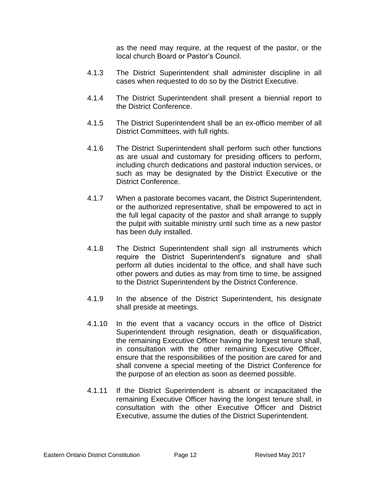as the need may require, at the request of the pastor, or the local church Board or Pastor's Council.

- 4.1.3 The District Superintendent shall administer discipline in all cases when requested to do so by the District Executive.
- 4.1.4 The District Superintendent shall present a biennial report to the District Conference.
- 4.1.5 The District Superintendent shall be an ex-officio member of all District Committees, with full rights.
- 4.1.6 The District Superintendent shall perform such other functions as are usual and customary for presiding officers to perform, including church dedications and pastoral induction services, or such as may be designated by the District Executive or the District Conference.
- 4.1.7 When a pastorate becomes vacant, the District Superintendent, or the authorized representative, shall be empowered to act in the full legal capacity of the pastor and shall arrange to supply the pulpit with suitable ministry until such time as a new pastor has been duly installed.
- 4.1.8 The District Superintendent shall sign all instruments which require the District Superintendent's signature and shall perform all duties incidental to the office, and shall have such other powers and duties as may from time to time, be assigned to the District Superintendent by the District Conference.
- 4.1.9 In the absence of the District Superintendent, his designate shall preside at meetings.
- 4.1.10 In the event that a vacancy occurs in the office of District Superintendent through resignation, death or disqualification, the remaining Executive Officer having the longest tenure shall, in consultation with the other remaining Executive Officer, ensure that the responsibilities of the position are cared for and shall convene a special meeting of the District Conference for the purpose of an election as soon as deemed possible.
- 4.1.11 If the District Superintendent is absent or incapacitated the remaining Executive Officer having the longest tenure shall, in consultation with the other Executive Officer and District Executive, assume the duties of the District Superintendent.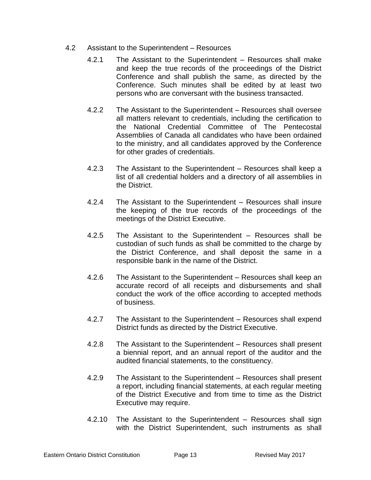- 4.2 Assistant to the Superintendent Resources
	- 4.2.1 The Assistant to the Superintendent Resources shall make and keep the true records of the proceedings of the District Conference and shall publish the same, as directed by the Conference. Such minutes shall be edited by at least two persons who are conversant with the business transacted.
	- 4.2.2 The Assistant to the Superintendent Resources shall oversee all matters relevant to credentials, including the certification to the National Credential Committee of The Pentecostal Assemblies of Canada all candidates who have been ordained to the ministry, and all candidates approved by the Conference for other grades of credentials.
	- 4.2.3 The Assistant to the Superintendent Resources shall keep a list of all credential holders and a directory of all assemblies in the District.
	- 4.2.4 The Assistant to the Superintendent Resources shall insure the keeping of the true records of the proceedings of the meetings of the District Executive.
	- 4.2.5 The Assistant to the Superintendent Resources shall be custodian of such funds as shall be committed to the charge by the District Conference, and shall deposit the same in a responsible bank in the name of the District.
	- 4.2.6 The Assistant to the Superintendent Resources shall keep an accurate record of all receipts and disbursements and shall conduct the work of the office according to accepted methods of business.
	- 4.2.7 The Assistant to the Superintendent Resources shall expend District funds as directed by the District Executive.
	- 4.2.8 The Assistant to the Superintendent Resources shall present a biennial report, and an annual report of the auditor and the audited financial statements, to the constituency.
	- 4.2.9 The Assistant to the Superintendent Resources shall present a report, including financial statements, at each regular meeting of the District Executive and from time to time as the District Executive may require.
	- 4.2.10 The Assistant to the Superintendent Resources shall sign with the District Superintendent, such instruments as shall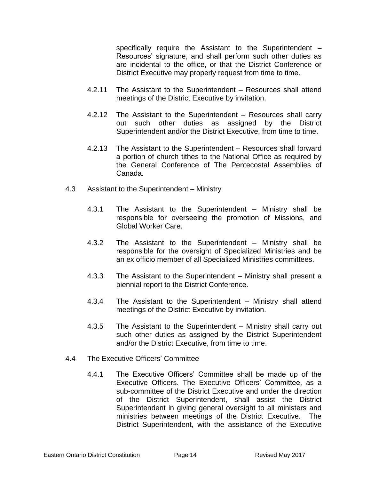specifically require the Assistant to the Superintendent – Resources' signature, and shall perform such other duties as are incidental to the office, or that the District Conference or District Executive may properly request from time to time.

- 4.2.11 The Assistant to the Superintendent Resources shall attend meetings of the District Executive by invitation.
- 4.2.12 The Assistant to the Superintendent Resources shall carry out such other duties as assigned by the District Superintendent and/or the District Executive, from time to time.
- 4.2.13 The Assistant to the Superintendent Resources shall forward a portion of church tithes to the National Office as required by the General Conference of The Pentecostal Assemblies of Canada.
- 4.3 Assistant to the Superintendent Ministry
	- 4.3.1 The Assistant to the Superintendent Ministry shall be responsible for overseeing the promotion of Missions, and Global Worker Care.
	- 4.3.2 The Assistant to the Superintendent Ministry shall be responsible for the oversight of Specialized Ministries and be an ex officio member of all Specialized Ministries committees.
	- 4.3.3 The Assistant to the Superintendent Ministry shall present a biennial report to the District Conference.
	- 4.3.4 The Assistant to the Superintendent Ministry shall attend meetings of the District Executive by invitation.
	- 4.3.5 The Assistant to the Superintendent Ministry shall carry out such other duties as assigned by the District Superintendent and/or the District Executive, from time to time.
- 4.4 The Executive Officers' Committee
	- 4.4.1 The Executive Officers' Committee shall be made up of the Executive Officers. The Executive Officers' Committee, as a sub-committee of the District Executive and under the direction of the District Superintendent, shall assist the District Superintendent in giving general oversight to all ministers and ministries between meetings of the District Executive. The District Superintendent, with the assistance of the Executive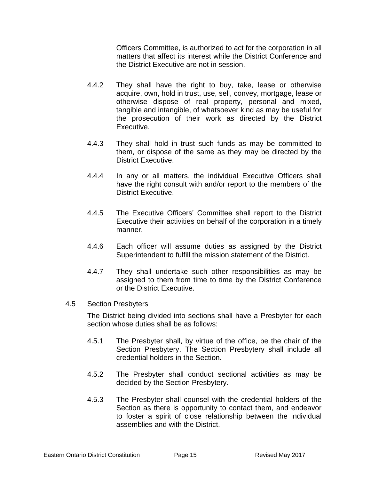Officers Committee, is authorized to act for the corporation in all matters that affect its interest while the District Conference and the District Executive are not in session.

- 4.4.2 They shall have the right to buy, take, lease or otherwise acquire, own, hold in trust, use, sell, convey, mortgage, lease or otherwise dispose of real property, personal and mixed, tangible and intangible, of whatsoever kind as may be useful for the prosecution of their work as directed by the District Executive.
- 4.4.3 They shall hold in trust such funds as may be committed to them, or dispose of the same as they may be directed by the District Executive.
- 4.4.4 In any or all matters, the individual Executive Officers shall have the right consult with and/or report to the members of the District Executive.
- 4.4.5 The Executive Officers' Committee shall report to the District Executive their activities on behalf of the corporation in a timely manner.
- 4.4.6 Each officer will assume duties as assigned by the District Superintendent to fulfill the mission statement of the District.
- 4.4.7 They shall undertake such other responsibilities as may be assigned to them from time to time by the District Conference or the District Executive.

#### 4.5 Section Presbyters

The District being divided into sections shall have a Presbyter for each section whose duties shall be as follows:

- 4.5.1 The Presbyter shall, by virtue of the office, be the chair of the Section Presbytery. The Section Presbytery shall include all credential holders in the Section.
- 4.5.2 The Presbyter shall conduct sectional activities as may be decided by the Section Presbytery.
- 4.5.3 The Presbyter shall counsel with the credential holders of the Section as there is opportunity to contact them, and endeavor to foster a spirit of close relationship between the individual assemblies and with the District.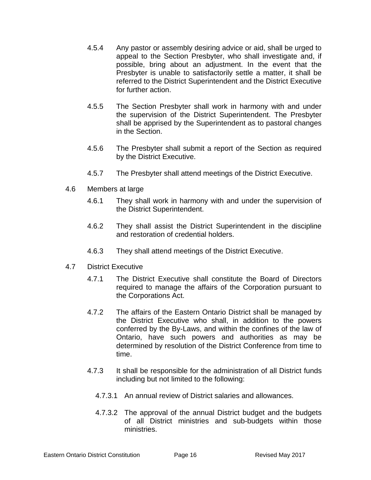- 4.5.4 Any pastor or assembly desiring advice or aid, shall be urged to appeal to the Section Presbyter, who shall investigate and, if possible, bring about an adjustment. In the event that the Presbyter is unable to satisfactorily settle a matter, it shall be referred to the District Superintendent and the District Executive for further action.
- 4.5.5 The Section Presbyter shall work in harmony with and under the supervision of the District Superintendent. The Presbyter shall be apprised by the Superintendent as to pastoral changes in the Section.
- 4.5.6 The Presbyter shall submit a report of the Section as required by the District Executive.
- 4.5.7 The Presbyter shall attend meetings of the District Executive.
- 4.6 Members at large
	- 4.6.1 They shall work in harmony with and under the supervision of the District Superintendent.
	- 4.6.2 They shall assist the District Superintendent in the discipline and restoration of credential holders.
	- 4.6.3 They shall attend meetings of the District Executive.
- 4.7 District Executive
	- 4.7.1 The District Executive shall constitute the Board of Directors required to manage the affairs of the Corporation pursuant to the Corporations Act.
	- 4.7.2 The affairs of the Eastern Ontario District shall be managed by the District Executive who shall, in addition to the powers conferred by the By-Laws, and within the confines of the law of Ontario, have such powers and authorities as may be determined by resolution of the District Conference from time to time.
	- 4.7.3 It shall be responsible for the administration of all District funds including but not limited to the following:
		- 4.7.3.1 An annual review of District salaries and allowances.
		- 4.7.3.2 The approval of the annual District budget and the budgets of all District ministries and sub-budgets within those ministries.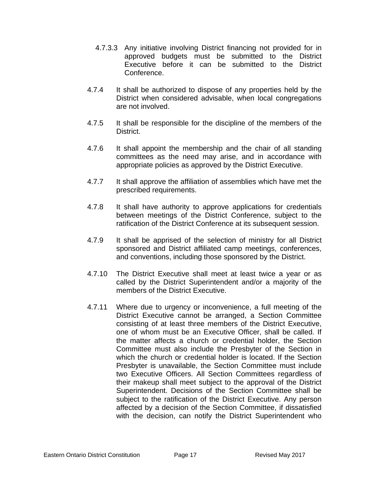- 4.7.3.3 Any initiative involving District financing not provided for in approved budgets must be submitted to the District Executive before it can be submitted to the District Conference.
- 4.7.4 It shall be authorized to dispose of any properties held by the District when considered advisable, when local congregations are not involved.
- 4.7.5 It shall be responsible for the discipline of the members of the **District**
- 4.7.6 It shall appoint the membership and the chair of all standing committees as the need may arise, and in accordance with appropriate policies as approved by the District Executive.
- 4.7.7 It shall approve the affiliation of assemblies which have met the prescribed requirements.
- 4.7.8 It shall have authority to approve applications for credentials between meetings of the District Conference, subject to the ratification of the District Conference at its subsequent session.
- 4.7.9 It shall be apprised of the selection of ministry for all District sponsored and District affiliated camp meetings, conferences, and conventions, including those sponsored by the District.
- 4.7.10 The District Executive shall meet at least twice a year or as called by the District Superintendent and/or a majority of the members of the District Executive.
- 4.7.11 Where due to urgency or inconvenience, a full meeting of the District Executive cannot be arranged, a Section Committee consisting of at least three members of the District Executive, one of whom must be an Executive Officer, shall be called. If the matter affects a church or credential holder, the Section Committee must also include the Presbyter of the Section in which the church or credential holder is located. If the Section Presbyter is unavailable, the Section Committee must include two Executive Officers. All Section Committees regardless of their makeup shall meet subject to the approval of the District Superintendent. Decisions of the Section Committee shall be subject to the ratification of the District Executive. Any person affected by a decision of the Section Committee, if dissatisfied with the decision, can notify the District Superintendent who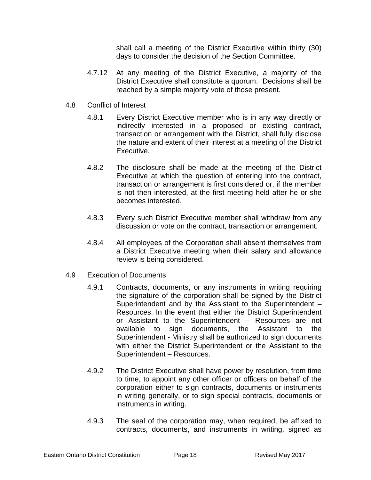shall call a meeting of the District Executive within thirty (30) days to consider the decision of the Section Committee.

- 4.7.12 At any meeting of the District Executive, a majority of the District Executive shall constitute a quorum. Decisions shall be reached by a simple majority vote of those present.
- 4.8 Conflict of Interest
	- 4.8.1 Every District Executive member who is in any way directly or indirectly interested in a proposed or existing contract, transaction or arrangement with the District, shall fully disclose the nature and extent of their interest at a meeting of the District Executive.
	- 4.8.2 The disclosure shall be made at the meeting of the District Executive at which the question of entering into the contract, transaction or arrangement is first considered or, if the member is not then interested, at the first meeting held after he or she becomes interested.
	- 4.8.3 Every such District Executive member shall withdraw from any discussion or vote on the contract, transaction or arrangement.
	- 4.8.4 All employees of the Corporation shall absent themselves from a District Executive meeting when their salary and allowance review is being considered.
- 4.9 Execution of Documents
	- 4.9.1 Contracts, documents, or any instruments in writing requiring the signature of the corporation shall be signed by the District Superintendent and by the Assistant to the Superintendent – Resources. In the event that either the District Superintendent or Assistant to the Superintendent – Resources are not available to sign documents, the Assistant to the Superintendent - Ministry shall be authorized to sign documents with either the District Superintendent or the Assistant to the Superintendent – Resources.
	- 4.9.2 The District Executive shall have power by resolution, from time to time, to appoint any other officer or officers on behalf of the corporation either to sign contracts, documents or instruments in writing generally, or to sign special contracts, documents or instruments in writing.
	- 4.9.3 The seal of the corporation may, when required, be affixed to contracts, documents, and instruments in writing, signed as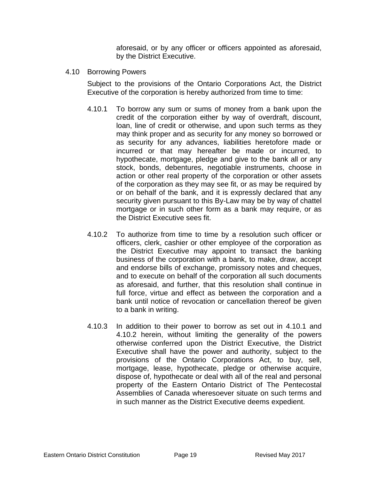aforesaid, or by any officer or officers appointed as aforesaid, by the District Executive.

4.10 Borrowing Powers

Subject to the provisions of the Ontario Corporations Act, the District Executive of the corporation is hereby authorized from time to time:

- 4.10.1 To borrow any sum or sums of money from a bank upon the credit of the corporation either by way of overdraft, discount, loan, line of credit or otherwise, and upon such terms as they may think proper and as security for any money so borrowed or as security for any advances, liabilities heretofore made or incurred or that may hereafter be made or incurred, to hypothecate, mortgage, pledge and give to the bank all or any stock, bonds, debentures, negotiable instruments, choose in action or other real property of the corporation or other assets of the corporation as they may see fit, or as may be required by or on behalf of the bank, and it is expressly declared that any security given pursuant to this By-Law may be by way of chattel mortgage or in such other form as a bank may require, or as the District Executive sees fit.
- 4.10.2 To authorize from time to time by a resolution such officer or officers, clerk, cashier or other employee of the corporation as the District Executive may appoint to transact the banking business of the corporation with a bank, to make, draw, accept and endorse bills of exchange, promissory notes and cheques, and to execute on behalf of the corporation all such documents as aforesaid, and further, that this resolution shall continue in full force, virtue and effect as between the corporation and a bank until notice of revocation or cancellation thereof be given to a bank in writing.
- 4.10.3 In addition to their power to borrow as set out in 4.10.1 and 4.10.2 herein, without limiting the generality of the powers otherwise conferred upon the District Executive, the District Executive shall have the power and authority, subject to the provisions of the Ontario Corporations Act, to buy, sell, mortgage, lease, hypothecate, pledge or otherwise acquire, dispose of, hypothecate or deal with all of the real and personal property of the Eastern Ontario District of The Pentecostal Assemblies of Canada wheresoever situate on such terms and in such manner as the District Executive deems expedient.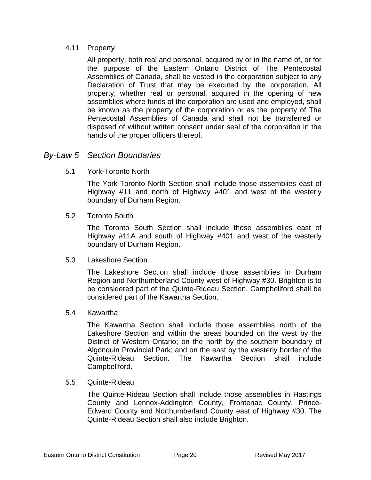### 4.11 Property

All property, both real and personal, acquired by or in the name of, or for the purpose of the Eastern Ontario District of The Pentecostal Assemblies of Canada, shall be vested in the corporation subject to any Declaration of Trust that may be executed by the corporation. All property, whether real or personal, acquired in the opening of new assemblies where funds of the corporation are used and employed, shall be known as the property of the corporation or as the property of The Pentecostal Assemblies of Canada and shall not be transferred or disposed of without written consent under seal of the corporation in the hands of the proper officers thereof.

### *By-Law 5 Section Boundaries*

5.1 York-Toronto North

The York-Toronto North Section shall include those assemblies east of Highway #11 and north of Highway #401 and west of the westerly boundary of Durham Region.

5.2 Toronto South

The Toronto South Section shall include those assemblies east of Highway #11A and south of Highway #401 and west of the westerly boundary of Durham Region.

### 5.3 Lakeshore Section

The Lakeshore Section shall include those assemblies in Durham Region and Northumberland County west of Highway #30. Brighton is to be considered part of the Quinte-Rideau Section. Campbellford shall be considered part of the Kawartha Section.

### 5.4 Kawartha

The Kawartha Section shall include those assemblies north of the Lakeshore Section and within the areas bounded on the west by the District of Western Ontario; on the north by the southern boundary of Algonquin Provincial Park; and on the east by the westerly border of the Quinte-Rideau Section. The Kawartha Section shall include Campbellford.

#### 5.5 Quinte-Rideau

The Quinte-Rideau Section shall include those assemblies in Hastings County and Lennox-Addington County, Frontenac County, Prince-Edward County and Northumberland County east of Highway #30. The Quinte-Rideau Section shall also include Brighton.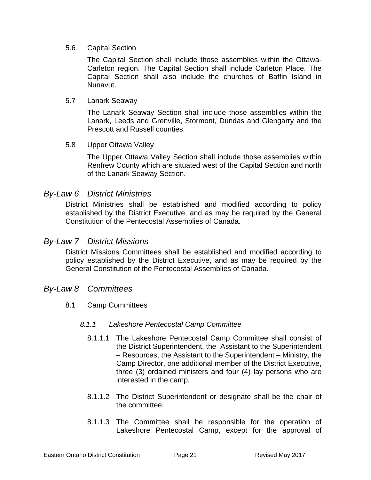#### 5.6 Capital Section

The Capital Section shall include those assemblies within the Ottawa-Carleton region. The Capital Section shall include Carleton Place. The Capital Section shall also include the churches of Baffin Island in Nunavut.

#### 5.7 Lanark Seaway

The Lanark Seaway Section shall include those assemblies within the Lanark, Leeds and Grenville, Stormont, Dundas and Glengarry and the Prescott and Russell counties.

### 5.8 Upper Ottawa Valley

The Upper Ottawa Valley Section shall include those assemblies within Renfrew County which are situated west of the Capital Section and north of the Lanark Seaway Section.

### *By-Law 6 District Ministries*

District Ministries shall be established and modified according to policy established by the District Executive, and as may be required by the General Constitution of the Pentecostal Assemblies of Canada.

### *By-Law 7 District Missions*

District Missions Committees shall be established and modified according to policy established by the District Executive, and as may be required by the General Constitution of the Pentecostal Assemblies of Canada.

### *By-Law 8 Committees*

8.1 Camp Committees

#### *8.1.1 Lakeshore Pentecostal Camp Committee*

- 8.1.1.1 The Lakeshore Pentecostal Camp Committee shall consist of the District Superintendent, the Assistant to the Superintendent – Resources, the Assistant to the Superintendent – Ministry, the Camp Director, one additional member of the District Executive, three (3) ordained ministers and four (4) lay persons who are interested in the camp.
- 8.1.1.2 The District Superintendent or designate shall be the chair of the committee.
- 8.1.1.3 The Committee shall be responsible for the operation of Lakeshore Pentecostal Camp, except for the approval of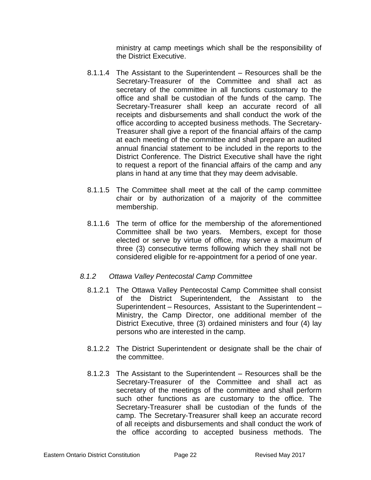ministry at camp meetings which shall be the responsibility of the District Executive.

- 8.1.1.4 The Assistant to the Superintendent Resources shall be the Secretary-Treasurer of the Committee and shall act as secretary of the committee in all functions customary to the office and shall be custodian of the funds of the camp. The Secretary-Treasurer shall keep an accurate record of all receipts and disbursements and shall conduct the work of the office according to accepted business methods. The Secretary-Treasurer shall give a report of the financial affairs of the camp at each meeting of the committee and shall prepare an audited annual financial statement to be included in the reports to the District Conference. The District Executive shall have the right to request a report of the financial affairs of the camp and any plans in hand at any time that they may deem advisable.
- 8.1.1.5 The Committee shall meet at the call of the camp committee chair or by authorization of a majority of the committee membership.
- 8.1.1.6 The term of office for the membership of the aforementioned Committee shall be two years. Members, except for those elected or serve by virtue of office, may serve a maximum of three (3) consecutive terms following which they shall not be considered eligible for re-appointment for a period of one year.

### *8.1.2 Ottawa Valley Pentecostal Camp Committee*

- 8.1.2.1 The Ottawa Valley Pentecostal Camp Committee shall consist of the District Superintendent, the Assistant to the Superintendent – Resources, Assistant to the Superintendent – Ministry, the Camp Director, one additional member of the District Executive, three (3) ordained ministers and four (4) lay persons who are interested in the camp.
- 8.1.2.2 The District Superintendent or designate shall be the chair of the committee.
- 8.1.2.3 The Assistant to the Superintendent Resources shall be the Secretary-Treasurer of the Committee and shall act as secretary of the meetings of the committee and shall perform such other functions as are customary to the office. The Secretary-Treasurer shall be custodian of the funds of the camp. The Secretary-Treasurer shall keep an accurate record of all receipts and disbursements and shall conduct the work of the office according to accepted business methods. The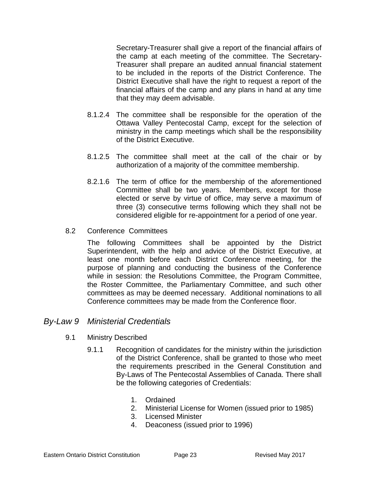Secretary-Treasurer shall give a report of the financial affairs of the camp at each meeting of the committee. The Secretary-Treasurer shall prepare an audited annual financial statement to be included in the reports of the District Conference. The District Executive shall have the right to request a report of the financial affairs of the camp and any plans in hand at any time that they may deem advisable.

- 8.1.2.4 The committee shall be responsible for the operation of the Ottawa Valley Pentecostal Camp, except for the selection of ministry in the camp meetings which shall be the responsibility of the District Executive.
- 8.1.2.5 The committee shall meet at the call of the chair or by authorization of a majority of the committee membership.
- 8.2.1.6 The term of office for the membership of the aforementioned Committee shall be two years. Members, except for those elected or serve by virtue of office, may serve a maximum of three (3) consecutive terms following which they shall not be considered eligible for re-appointment for a period of one year.
- 8.2 Conference Committees

The following Committees shall be appointed by the District Superintendent, with the help and advice of the District Executive, at least one month before each District Conference meeting, for the purpose of planning and conducting the business of the Conference while in session: the Resolutions Committee, the Program Committee, the Roster Committee, the Parliamentary Committee, and such other committees as may be deemed necessary. Additional nominations to all Conference committees may be made from the Conference floor.

### *By-Law 9 Ministerial Credentials*

- 9.1 Ministry Described
	- 9.1.1 Recognition of candidates for the ministry within the jurisdiction of the District Conference, shall be granted to those who meet the requirements prescribed in the General Constitution and By-Laws of The Pentecostal Assemblies of Canada. There shall be the following categories of Credentials:
		- 1. Ordained
		- 2. Ministerial License for Women (issued prior to 1985)
		- 3. Licensed Minister
		- 4. Deaconess (issued prior to 1996)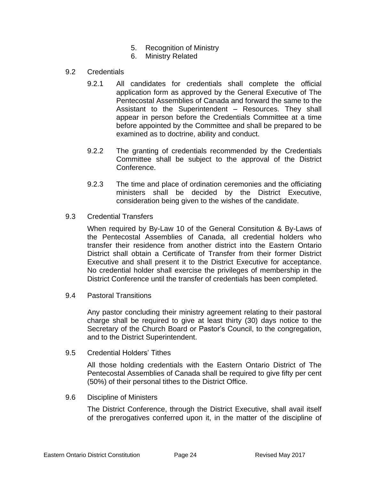- 5. Recognition of Ministry
- 6. Ministry Related
- 9.2 Credentials
	- 9.2.1 All candidates for credentials shall complete the official application form as approved by the General Executive of The Pentecostal Assemblies of Canada and forward the same to the Assistant to the Superintendent – Resources. They shall appear in person before the Credentials Committee at a time before appointed by the Committee and shall be prepared to be examined as to doctrine, ability and conduct.
	- 9.2.2 The granting of credentials recommended by the Credentials Committee shall be subject to the approval of the District Conference.
	- 9.2.3 The time and place of ordination ceremonies and the officiating ministers shall be decided by the District Executive, consideration being given to the wishes of the candidate.
- 9.3 Credential Transfers

When required by By-Law 10 of the General Consitution & By-Laws of the Pentecostal Assemblies of Canada, all credential holders who transfer their residence from another district into the Eastern Ontario District shall obtain a Certificate of Transfer from their former District Executive and shall present it to the District Executive for acceptance. No credential holder shall exercise the privileges of membership in the District Conference until the transfer of credentials has been completed.

9.4 Pastoral Transitions

Any pastor concluding their ministry agreement relating to their pastoral charge shall be required to give at least thirty (30) days notice to the Secretary of the Church Board or Pastor's Council, to the congregation, and to the District Superintendent.

9.5 Credential Holders' Tithes

All those holding credentials with the Eastern Ontario District of The Pentecostal Assemblies of Canada shall be required to give fifty per cent (50%) of their personal tithes to the District Office.

9.6 Discipline of Ministers

The District Conference, through the District Executive, shall avail itself of the prerogatives conferred upon it, in the matter of the discipline of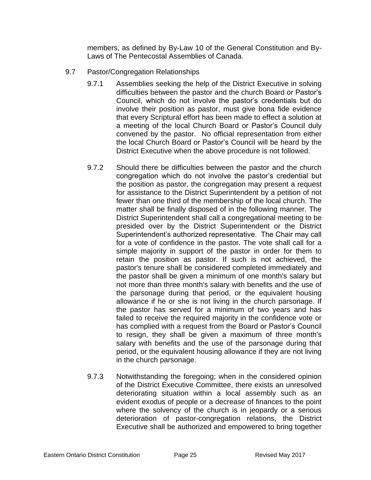members, as defined by By-Law 10 of the General Constitution and By-Laws of The Pentecostal Assemblies of Canada.

- 9.7 Pastor/Congregation Relationships
	- 9.7.1 Assemblies seeking the help of the District Executive in solving difficulties between the pastor and the church Board or Pastor's Council, which do not involve the pastor's credentials but do involve their position as pastor, must give bona fide evidence that every Scriptural effort has been made to effect a solution at a meeting of the local Church Board or Pastor's Council duly convened by the pastor. No official representation from either the local Church Board or Pastor's Council will be heard by the District Executive when the above procedure is not followed.
	- 9.7.2 Should there be difficulties between the pastor and the church congregation which do not involve the pastor's credential but the position as pastor, the congregation may present a request for assistance to the District Superintendent by a petition of not fewer than one third of the membership of the local church. The matter shall be finally disposed of in the following manner. The District Superintendent shall call a congregational meeting to be presided over by the District Superintendent or the District Superintendent's authorized representative. The Chair may call for a vote of confidence in the pastor. The vote shall call for a simple majority in support of the pastor in order for them to retain the position as pastor. If such is not achieved, the pastor's tenure shall be considered completed immediately and the pastor shall be given a minimum of one month's salary but not more than three month's salary with benefits and the use of the parsonage during that period, or the equivalent housing allowance if he or she is not living in the church parsonage. If the pastor has served for a minimum of two years and has failed to receive the required majority in the confidence vote or has complied with a request from the Board or Pastor's Council to resign, they shall be given a maximum of three month's salary with benefits and the use of the parsonage during that period, or the equivalent housing allowance if they are not living in the church parsonage.
	- 9.7.3 Notwithstanding the foregoing; when in the considered opinion of the District Executive Committee, there exists an unresolved deteriorating situation within a local assembly such as an evident exodus of people or a decrease of finances to the point where the solvency of the church is in jeopardy or a serious deterioration of pastor-congregation relations, the District Executive shall be authorized and empowered to bring together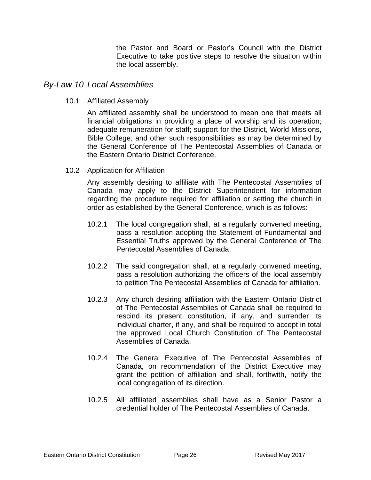the Pastor and Board or Pastor's Council with the District Executive to take positive steps to resolve the situation within the local assembly.

### *By-Law 10 Local Assemblies*

10.1 Affiliated Assembly

An affiliated assembly shall be understood to mean one that meets all financial obligations in providing a place of worship and its operation; adequate remuneration for staff; support for the District, World Missions, Bible College; and other such responsibilities as may be determined by the General Conference of The Pentecostal Assemblies of Canada or the Eastern Ontario District Conference.

10.2 Application for Affiliation

Any assembly desiring to affiliate with The Pentecostal Assemblies of Canada may apply to the District Superintendent for information regarding the procedure required for affiliation or setting the church in order as established by the General Conference, which is as follows:

- 10.2.1 The local congregation shall, at a regularly convened meeting, pass a resolution adopting the Statement of Fundamental and Essential Truths approved by the General Conference of The Pentecostal Assemblies of Canada.
- 10.2.2 The said congregation shall, at a regularly convened meeting, pass a resolution authorizing the officers of the local assembly to petition The Pentecostal Assemblies of Canada for affiliation.
- 10.2.3 Any church desiring affiliation with the Eastern Ontario District of The Pentecostal Assemblies of Canada shall be required to rescind its present constitution, if any, and surrender its individual charter, if any, and shall be required to accept in total the approved Local Church Constitution of The Pentecostal Assemblies of Canada.
- 10.2.4 The General Executive of The Pentecostal Assemblies of Canada, on recommendation of the District Executive may grant the petition of affiliation and shall, forthwith, notify the local congregation of its direction.
- 10.2.5 All affiliated assemblies shall have as a Senior Pastor a credential holder of The Pentecostal Assemblies of Canada.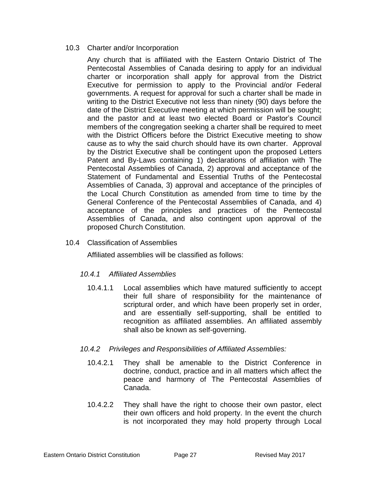### 10.3 Charter and/or Incorporation

Any church that is affiliated with the Eastern Ontario District of The Pentecostal Assemblies of Canada desiring to apply for an individual charter or incorporation shall apply for approval from the District Executive for permission to apply to the Provincial and/or Federal governments. A request for approval for such a charter shall be made in writing to the District Executive not less than ninety (90) days before the date of the District Executive meeting at which permission will be sought; and the pastor and at least two elected Board or Pastor's Council members of the congregation seeking a charter shall be required to meet with the District Officers before the District Executive meeting to show cause as to why the said church should have its own charter. Approval by the District Executive shall be contingent upon the proposed Letters Patent and By-Laws containing 1) declarations of affiliation with The Pentecostal Assemblies of Canada, 2) approval and acceptance of the Statement of Fundamental and Essential Truths of the Pentecostal Assemblies of Canada, 3) approval and acceptance of the principles of the Local Church Constitution as amended from time to time by the General Conference of the Pentecostal Assemblies of Canada, and 4) acceptance of the principles and practices of the Pentecostal Assemblies of Canada, and also contingent upon approval of the proposed Church Constitution.

### 10.4 Classification of Assemblies

Affiliated assemblies will be classified as follows:

### *10.4.1 Affiliated Assemblies*

10.4.1.1 Local assemblies which have matured sufficiently to accept their full share of responsibility for the maintenance of scriptural order, and which have been properly set in order, and are essentially self-supporting, shall be entitled to recognition as affiliated assemblies. An affiliated assembly shall also be known as self-governing.

### *10.4.2 Privileges and Responsibilities of Affiliated Assemblies:*

- 10.4.2.1 They shall be amenable to the District Conference in doctrine, conduct, practice and in all matters which affect the peace and harmony of The Pentecostal Assemblies of Canada.
- 10.4.2.2 They shall have the right to choose their own pastor, elect their own officers and hold property. In the event the church is not incorporated they may hold property through Local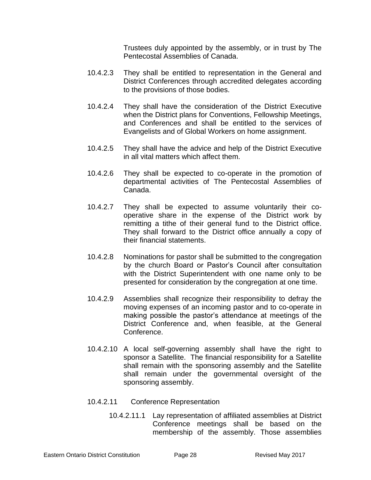Trustees duly appointed by the assembly, or in trust by The Pentecostal Assemblies of Canada.

- 10.4.2.3 They shall be entitled to representation in the General and District Conferences through accredited delegates according to the provisions of those bodies.
- 10.4.2.4 They shall have the consideration of the District Executive when the District plans for Conventions, Fellowship Meetings, and Conferences and shall be entitled to the services of Evangelists and of Global Workers on home assignment.
- 10.4.2.5 They shall have the advice and help of the District Executive in all vital matters which affect them.
- 10.4.2.6 They shall be expected to co-operate in the promotion of departmental activities of The Pentecostal Assemblies of Canada.
- 10.4.2.7 They shall be expected to assume voluntarily their cooperative share in the expense of the District work by remitting a tithe of their general fund to the District office. They shall forward to the District office annually a copy of their financial statements.
- 10.4.2.8 Nominations for pastor shall be submitted to the congregation by the church Board or Pastor's Council after consultation with the District Superintendent with one name only to be presented for consideration by the congregation at one time.
- 10.4.2.9 Assemblies shall recognize their responsibility to defray the moving expenses of an incoming pastor and to co-operate in making possible the pastor's attendance at meetings of the District Conference and, when feasible, at the General Conference.
- 10.4.2.10 A local self-governing assembly shall have the right to sponsor a Satellite. The financial responsibility for a Satellite shall remain with the sponsoring assembly and the Satellite shall remain under the governmental oversight of the sponsoring assembly.
- 10.4.2.11 Conference Representation
	- 10.4.2.11.1 Lay representation of affiliated assemblies at District Conference meetings shall be based on the membership of the assembly. Those assemblies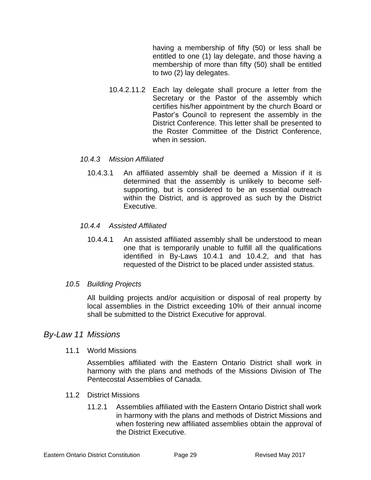having a membership of fifty (50) or less shall be entitled to one (1) lay delegate, and those having a membership of more than fifty (50) shall be entitled to two (2) lay delegates.

10.4.2.11.2 Each lay delegate shall procure a letter from the Secretary or the Pastor of the assembly which certifies his/her appointment by the church Board or Pastor's Council to represent the assembly in the District Conference. This letter shall be presented to the Roster Committee of the District Conference, when in session.

### *10.4.3 Mission Affiliated*

10.4.3.1 An affiliated assembly shall be deemed a Mission if it is determined that the assembly is unlikely to become selfsupporting, but is considered to be an essential outreach within the District, and is approved as such by the District Executive.

#### *10.4.4 Assisted Affiliated*

10.4.4.1 An assisted affiliated assembly shall be understood to mean one that is temporarily unable to fulfill all the qualifications identified in By-Laws 10.4.1 and 10.4.2, and that has requested of the District to be placed under assisted status.

### *10.5 Building Projects*

All building projects and/or acquisition or disposal of real property by local assemblies in the District exceeding 10% of their annual income shall be submitted to the District Executive for approval.

### *By-Law 11 Missions*

11.1 World Missions

Assemblies affiliated with the Eastern Ontario District shall work in harmony with the plans and methods of the Missions Division of The Pentecostal Assemblies of Canada.

- 11.2 District Missions
	- 11.2.1 Assemblies affiliated with the Eastern Ontario District shall work in harmony with the plans and methods of District Missions and when fostering new affiliated assemblies obtain the approval of the District Executive.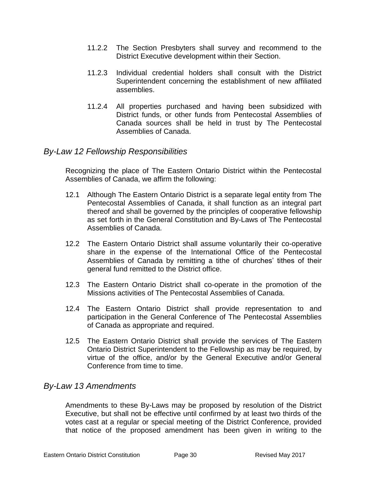- 11.2.2 The Section Presbyters shall survey and recommend to the District Executive development within their Section.
- 11.2.3 Individual credential holders shall consult with the District Superintendent concerning the establishment of new affiliated assemblies.
- 11.2.4 All properties purchased and having been subsidized with District funds, or other funds from Pentecostal Assemblies of Canada sources shall be held in trust by The Pentecostal Assemblies of Canada.

### *By-Law 12 Fellowship Responsibilities*

Recognizing the place of The Eastern Ontario District within the Pentecostal Assemblies of Canada, we affirm the following:

- 12.1 Although The Eastern Ontario District is a separate legal entity from The Pentecostal Assemblies of Canada, it shall function as an integral part thereof and shall be governed by the principles of cooperative fellowship as set forth in the General Constitution and By-Laws of The Pentecostal Assemblies of Canada.
- 12.2 The Eastern Ontario District shall assume voluntarily their co-operative share in the expense of the International Office of the Pentecostal Assemblies of Canada by remitting a tithe of churches' tithes of their general fund remitted to the District office.
- 12.3 The Eastern Ontario District shall co-operate in the promotion of the Missions activities of The Pentecostal Assemblies of Canada.
- 12.4 The Eastern Ontario District shall provide representation to and participation in the General Conference of The Pentecostal Assemblies of Canada as appropriate and required.
- 12.5 The Eastern Ontario District shall provide the services of The Eastern Ontario District Superintendent to the Fellowship as may be required, by virtue of the office, and/or by the General Executive and/or General Conference from time to time.

# *By-Law 13 Amendments*

Amendments to these By-Laws may be proposed by resolution of the District Executive, but shall not be effective until confirmed by at least two thirds of the votes cast at a regular or special meeting of the District Conference, provided that notice of the proposed amendment has been given in writing to the